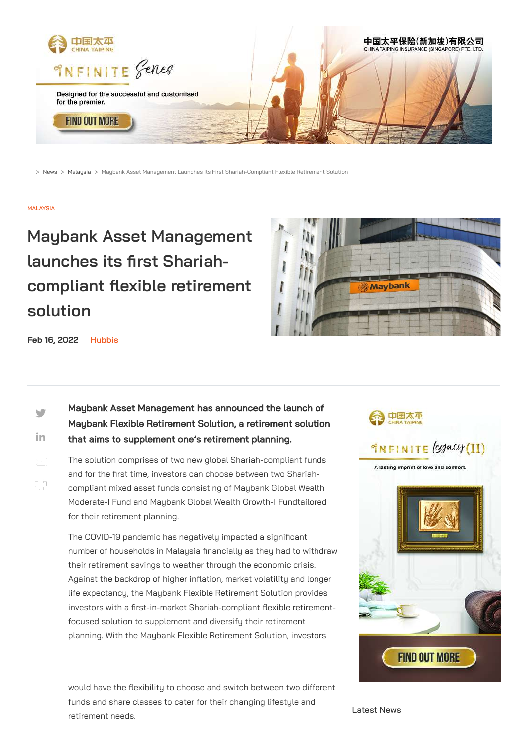

> [News](https://www.hubbis.com/news/) > [Malaysia](https://www.hubbis.com/news/topic/malaysia) > Maybank Asset Management Launches Its First Shariah-Compliant Flexible Retirement Solution

### **[MALAYSIA](https://www.hubbis.com/news/topic/malaysia)**

 $\blacksquare$ 

# **Maybank Asset Management launches its first Shariahcompliant flexible retirement solution**



in. Maybank Asset Management has announced the launch of Maybank Flexible Retirement Solution, a retirement solution that aims to supplement one's retirement planning.

**Feb 16, 2022 [Hubbis](https://www.hubbis.com/about/)**

The solution comprises of two new global Shariah-compliant funds and for the first time, investors can choose between two Shariah-compliant mixed asset funds consisting of Maybank Global Wealth Moderate-I Fund and Maybank Global Wealth Growth-I Fundtailored for their retirement planning.

> The COVID-19 pandemic has negatively impacted a significant number of households in Malaysia financially as they had to withdraw their retirement savings to weather through the economic crisis. Against the backdrop of higher inflation, market volatility and longer life expectancy, the Maybank Flexible Retirement Solution provides investors with a first-in-market Shariah-compliant flexible retirementfocused solution to supplement and diversify their retirement planning. With the Maybank Flexible Retirement Solution, investors





would have the flexibility to choose and switch between two different funds and share classes to cater for their changing lifestyle and retirement needs.

Latest News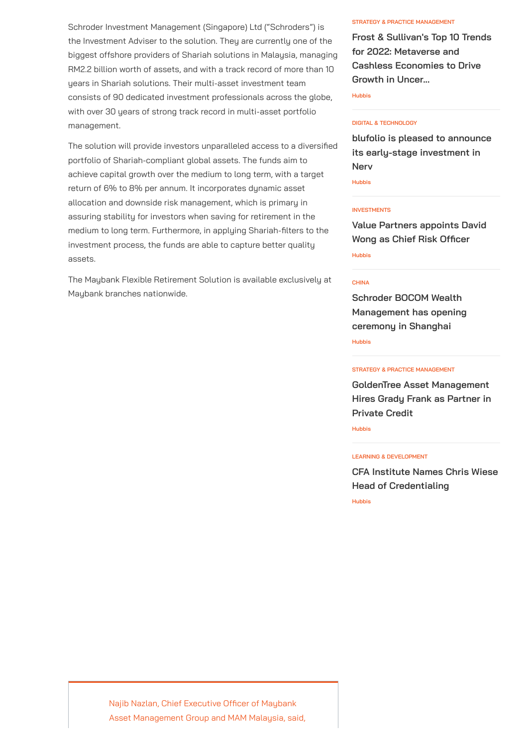Schroder Investment Management (Singapore) Ltd ("Schroders") is the Investment Adviser to the solution. They are currently one of the biggest offshore providers of Shariah solutions in Malaysia, managing RM2.2 billion worth of assets, and with a track record of more than 10 years in Shariah solutions. Their multi-asset investment team consists of 90 dedicated investment professionals across the globe, with over 30 years of strong track record in multi-asset portfolio management.

The solution will provide investors unparalleled access to a diversified portfolio of Shariah-compliant global assets. The funds aim to achieve capital growth over the medium to long term, with a target return of 6% to 8% per annum. It incorporates dynamic asset allocation and downside risk management, which is primary in assuring stability for investors when saving for retirement in the medium to long term. Furthermore, in applying Shariah-filters to the investment process, the funds are able to capture better quality assets.

The Maybank Flexible Retirement Solution is available exclusively at Maybank branches nationwide.

Najib Nazlan, Chief Executive Officer of Maybank

Asset Management Group and MAM Malaysia, said,

#### **STRATEGY & PRACTICE [MANAGEMENT](https://www.hubbis.com/news/topic/strategy-practice-management)**

**Frost & Sullivan's Top 10 Trends for 2022: Metaverse and Cashless [Economies](https://www.hubbis.com/news/frost-sullivan-s-top-10-trends-for-2022-metaverse-and-cashless-economies-to-drive-growth-in-uncertain-times) to Drive Growth in Uncer...**

**[Hubbis](https://www.hubbis.com/about/)**

#### **DIGITAL & [TECHNOLOGY](https://www.hubbis.com/news/topic/digital-technology)**

**blufolio is pleased to announce its [early-stage](https://www.hubbis.com/news/blufolio-is-pleased-to-announce-its-early-stage-investment-in-nerv) investment in Nerv**

**[Hubbis](https://www.hubbis.com/about/)**

#### **[INVESTMENTS](https://www.hubbis.com/news/topic/investments)**

**Value Partners [appoints](https://www.hubbis.com/news/value-partners-appoints-david-wong-as-chief-risk-officer) David Wong as Chief Risk Officer [Hubbis](https://www.hubbis.com/about/)**

#### **[CHINA](https://www.hubbis.com/news/topic/china)**

**Schroder [BOCOM Wealth](https://www.hubbis.com/news/schroder-bocom-wealth-management-has-opening-ceremony-in-shanghai) Management has opening ceremony in Shanghai [Hubbis](https://www.hubbis.com/about/)**

#### **STRATEGY & PRACTICE [MANAGEMENT](https://www.hubbis.com/news/topic/strategy-practice-management)**

**GoldenTree Asset [Management](https://www.hubbis.com/news/goldentree-asset-management-hires-grady-frank-as-partner-in-private-credit) Hires Grady Frank as Partner in Private Credit**

**[Hubbis](https://www.hubbis.com/about/)**

#### **LEARNING & [DEVELOPMENT](https://www.hubbis.com/news/topic/learning-development)**

**CFA Institute Names Chris Wiese Head of [Credentialing](https://www.hubbis.com/news/cfa-institute-names-chris-wiese-head-of-credentialing)**

**[Hubbis](https://www.hubbis.com/about/)**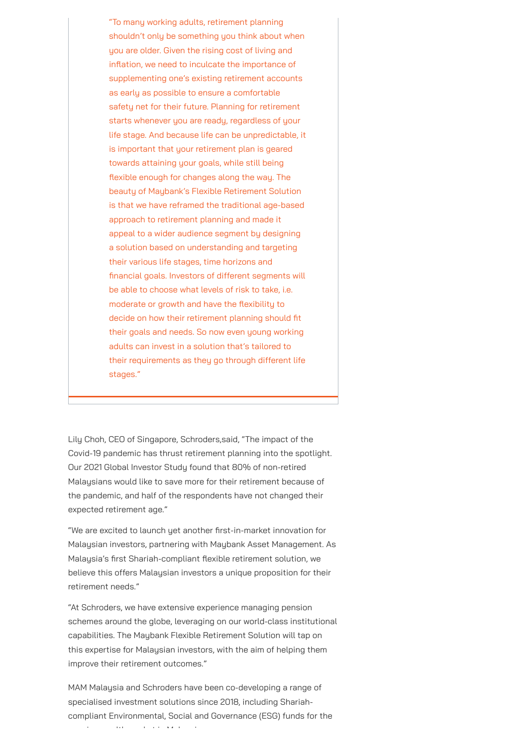Lily Choh, CEO of Singapore, Schroders,said, "The impact of the Covid-19 pandemic has thrust retirement planning into the spotlight. Our 2021 Global Investor Study found that 80% of non-retired Malaysians would like to save more for their retirement because of the pandemic, and half of the respondents have not changed their expected retirement age."

"We are excited to launch yet another first-in-market innovation for Malaysian investors, partnering with Maybank Asset Management. As Malaysia's first Shariah-compliant flexible retirement solution, we

believe this offers Malaysian investors a unique proposition for their retirement needs."

"At Schroders, we have extensive experience managing pension schemes around the globe, leveraging on our world-class institutional capabilities. The Maybank Flexible Retirement Solution will tap on this expertise for Malaysian investors, with the aim of helping them improve their retirement outcomes."

MAM Malaysia and Schroders have been co-developing a range of specialised investment solutions since 2018, including Shariahcompliant Environmental, Social and Governance (ESG) funds for the

i lth k t i M l i M l i M l i M l i M l i M l i M l i M l i M l i M l i M l i M l i M l i M l i M l i M l i M

"To many working adults, retirement planning shouldn't only be something you think about when you are older. Given the rising cost of living and inflation, we need to inculcate the importance of supplementing one's existing retirement accounts as early as possible to ensure a comfortable safety net for their future. Planning for retirement starts whenever you are ready, regardless of your life stage. And because life can be unpredictable, it is important that your retirement plan is geared towards attaining your goals, while still being flexible enough for changes along the way. The beauty of Maybank's Flexible Retirement Solution is that we have reframed the traditional age-based approach to retirement planning and made it appeal to a wider audience segment by designing a solution based on understanding and targeting their various life stages, time horizons and financial goals. Investors of different segments will be able to choose what levels of risk to take, i.e. moderate or growth and have the flexibility to decide on how their retirement planning should fit their goals and needs. So now even young working adults can invest in a solution that's tailored to their requirements as they go through different life stages."